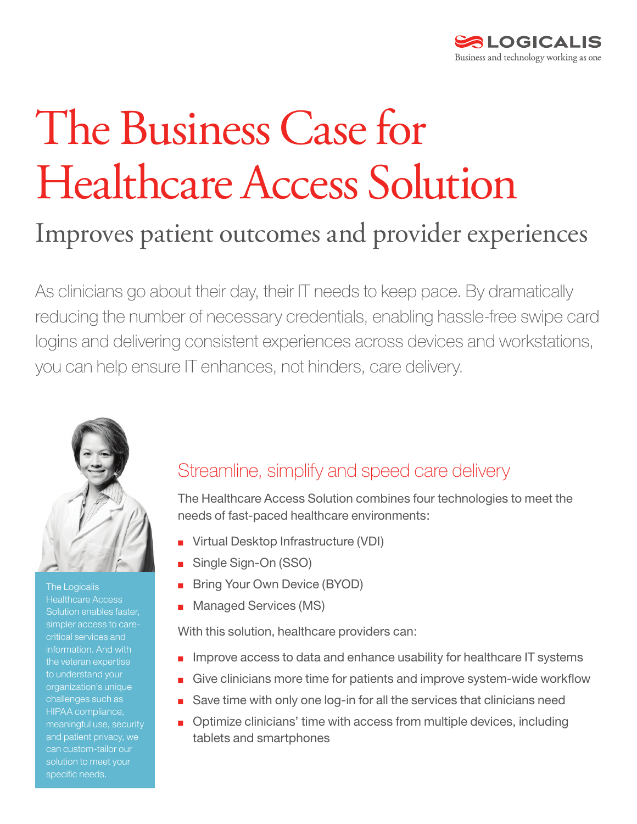

# The Business Case for Healthcare Access Solution

# Improves patient outcomes and provider experiences

As clinicians go about their day, their IT needs to keep pace. By dramatically reducing the number of necessary credentials, enabling hassle-free swipe card logins and delivering consistent experiences across devices and workstations, you can help ensure IT enhances, not hinders, care delivery.



The Logicalis Healthcare Access Solution enables faster, simpler access to carecritical services and the veteran expertise to understand your organization's unique challenges such as HIPAA compliance, meaningful use, security and patient privacy, we specific needs.

# Streamline, simplify and speed care delivery

The Healthcare Access Solution combines four technologies to meet the needs of fast-paced healthcare environments:

- Virtual Desktop Infrastructure (VDI)
- Single Sign-On (SSO)
- **Bring Your Own Device (BYOD)**
- Managed Services (MS)

With this solution, healthcare providers can:

- Improve access to data and enhance usability for healthcare IT systems
- Give clinicians more time for patients and improve system-wide workflow
- Save time with only one log-in for all the services that clinicians need
- Optimize clinicians' time with access from multiple devices, including tablets and smartphones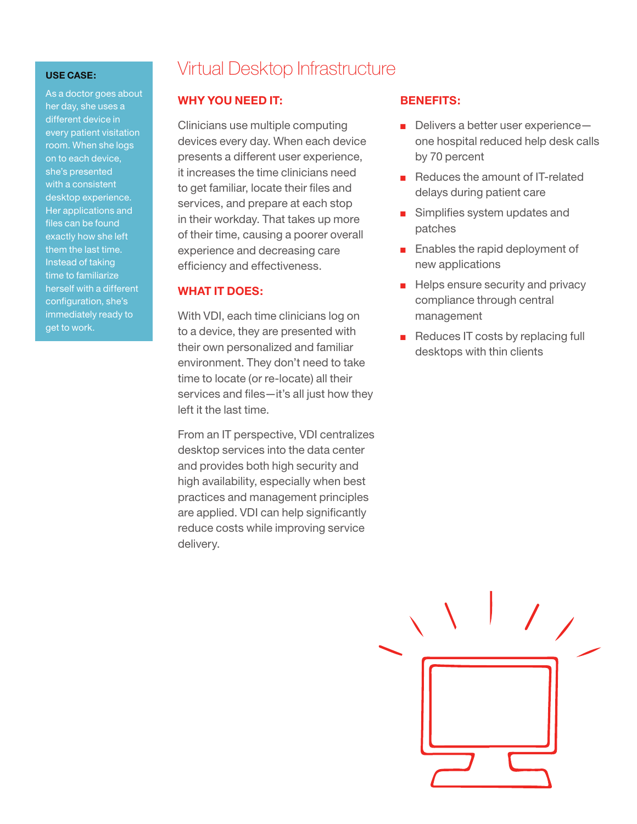As a doctor goes about her day, she uses a different device in every patient visitation room. When she logs on to each device, she's presented with a consistent desktop experience. Her applications and files can be found exactly how she left them the last time. Instead of taking time to familiarize herself with a different configuration, she's immediately ready to get to work.

### Virtual Desktop Infrastructure

#### **WHY YOU NEED IT:**

Clinicians use multiple computing devices every day. When each device presents a different user experience, it increases the time clinicians need to get familiar, locate their files and services, and prepare at each stop in their workday. That takes up more of their time, causing a poorer overall experience and decreasing care efficiency and effectiveness.

#### **WHAT IT DOES:**

With VDI, each time clinicians log on to a device, they are presented with their own personalized and familiar environment. They don't need to take time to locate (or re-locate) all their services and files—it's all just how they left it the last time.

From an IT perspective, VDI centralizes desktop services into the data center and provides both high security and high availability, especially when best practices and management principles are applied. VDI can help significantly reduce costs while improving service delivery.

#### **BENEFITS:**

- Delivers a better user experienceone hospital reduced help desk calls by 70 percent
- Reduces the amount of IT-related delays during patient care
- Simplifies system updates and patches
- Enables the rapid deployment of new applications
- Helps ensure security and privacy compliance through central management
- Reduces IT costs by replacing full desktops with thin clients

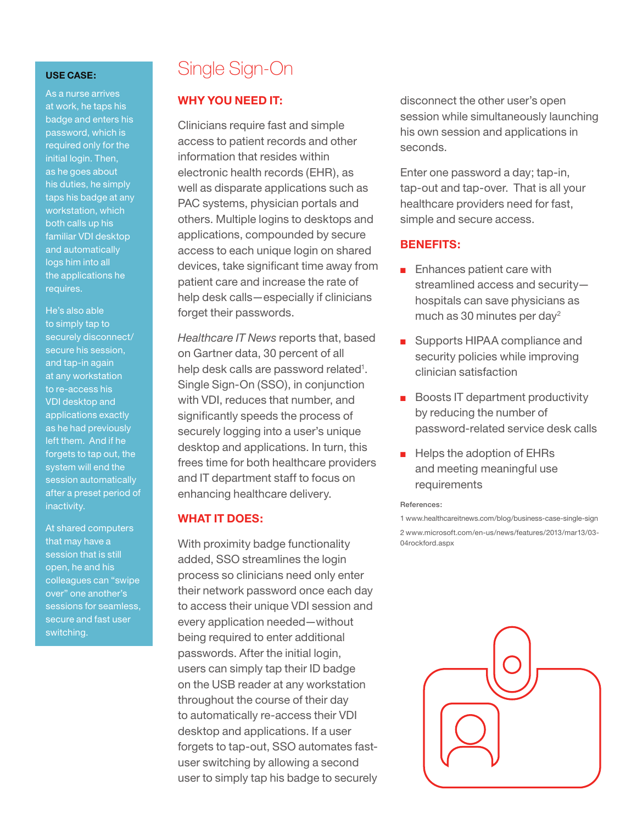As a nurse arrives at work, he taps his badge and enters his password, which is required only for the initial login. Then, as he goes about his duties, he simply taps his badge at any workstation, which both calls up his familiar VDI desktop and automatically logs him into all the applications he requires.

He's also able to simply tap to securely disconnect/ secure his session, and tap-in again at any workstation to re-access his VDI desktop and applications exactly as he had previously left them. And if he forgets to tap out, the system will end the session automatically after a preset period of inactivity.

At shared computers that may have a session that is still open, he and his colleagues can "swipe over" one another's sessions for seamless, secure and fast user switching.

# Single Sign-On

#### **WHY YOU NEED IT:**

Clinicians require fast and simple access to patient records and other information that resides within electronic health records (EHR), as well as disparate applications such as PAC systems, physician portals and others. Multiple logins to desktops and applications, compounded by secure access to each unique login on shared devices, take significant time away from patient care and increase the rate of help desk calls—especially if clinicians forget their passwords.

*Healthcare IT News* reports that, based on Gartner data, 30 percent of all help desk calls are password related<sup>1</sup>. Single Sign-On (SSO), in conjunction with VDI, reduces that number, and significantly speeds the process of securely logging into a user's unique desktop and applications. In turn, this frees time for both healthcare providers and IT department staff to focus on enhancing healthcare delivery.

#### **WHAT IT DOES:**

With proximity badge functionality added, SSO streamlines the login process so clinicians need only enter their network password once each day to access their unique VDI session and every application needed—without being required to enter additional passwords. After the initial login, users can simply tap their ID badge on the USB reader at any workstation throughout the course of their day to automatically re-access their VDI desktop and applications. If a user forgets to tap-out, SSO automates fastuser switching by allowing a second user to simply tap his badge to securely disconnect the other user's open session while simultaneously launching his own session and applications in seconds.

Enter one password a day; tap-in, tap-out and tap-over. That is all your healthcare providers need for fast, simple and secure access.

#### **BENEFITS:**

- Enhances patient care with streamlined access and security hospitals can save physicians as much as 30 minutes per day2
- Supports HIPAA compliance and security policies while improving clinician satisfaction
- Boosts IT department productivity by reducing the number of password-related service desk calls
- Helps the adoption of EHRs and meeting meaningful use requirements

#### References:

1 [www.healthcareitnews.com/blog/business-case-single-sign](http://www.healthcareitnews.com/blog/business-case-single-sign) 2 [www.microsoft.com/en-us/news/features/2013/mar13/03-](http://www.microsoft.com/en-us/news/features/2013/mar13/03-04rockford.aspx) [04rockford.aspx](http://www.microsoft.com/en-us/news/features/2013/mar13/03-04rockford.aspx)

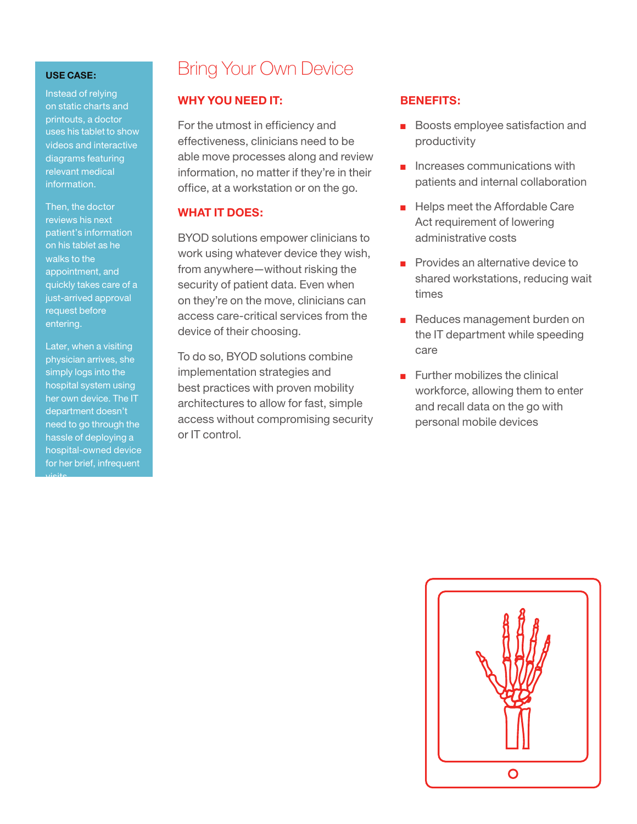Instead of relying on static charts and printouts, a doctor uses his tablet to show videos and interactive diagrams featuring relevant medical information.

Then, the doctor reviews his next patient's information on his tablet as he walks to the appointment, and quickly takes care of a just-arrived approval request before entering.

Later, when a visiting physician arrives, she simply logs into the hospital system using her own device. The IT department doesn't need to go through the hassle of deploying a hospital-owned device for her brief, infrequent visits.

## Bring Your Own Device

#### **WHY YOU NEED IT:**

For the utmost in efficiency and effectiveness, clinicians need to be able move processes along and review information, no matter if they're in their office, at a workstation or on the go.

#### **WHAT IT DOES:**

BYOD solutions empower clinicians to work using whatever device they wish, from anywhere—without risking the security of patient data. Even when on they're on the move, clinicians can access care-critical services from the device of their choosing.

To do so, BYOD solutions combine implementation strategies and best practices with proven mobility architectures to allow for fast, simple access without compromising security or IT control.

#### **BENEFITS:**

- Boosts employee satisfaction and productivity
- Increases communications with patients and internal collaboration
- Helps meet the Affordable Care Act requirement of lowering administrative costs
- Provides an alternative device to shared workstations, reducing wait times
- Reduces management burden on the IT department while speeding care
- Further mobilizes the clinical workforce, allowing them to enter and recall data on the go with personal mobile devices